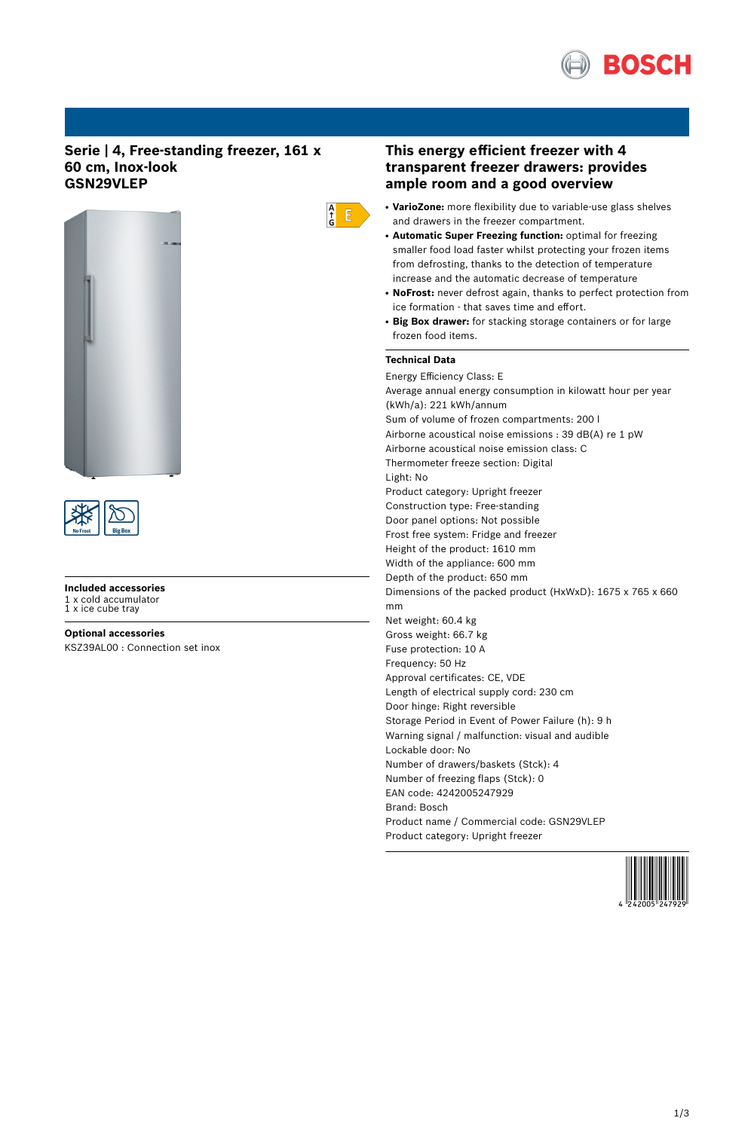

# **Serie | 4, Free-standing freezer, 161 x 60 cm, Inox-look GSN29VLEP**





**Included accessories** 1 x cold accumulator 1 x ice cube tray

**Optional accessories** KSZ39AL00 : Connection set inox

# **This energy efficient freezer with 4 transparent freezer drawers: provides ample room and a good overview**

- **VarioZone:** more flexibility due to variable-use glass shelves and drawers in the freezer compartment.
- **Automatic Super Freezing function:** optimal for freezing smaller food load faster whilst protecting your frozen items from defrosting, thanks to the detection of temperature increase and the automatic decrease of temperature
- NoFrost: never defrost again, thanks to perfect protection from ice formation - that saves time and effort.
- **Big Box drawer:** for stacking storage containers or for large frozen food items.

### **Technical Data**

 $\frac{A}{f}$  $E$ 

> Energy Efficiency Class: E Average annual energy consumption in kilowatt hour per year (kWh/a): 221 kWh/annum Sum of volume of frozen compartments: 200 l Airborne acoustical noise emissions : 39 dB(A) re 1 pW Airborne acoustical noise emission class: C Thermometer freeze section: Digital Light: No Product category: Upright freezer Construction type: Free-standing Door panel options: Not possible Frost free system: Fridge and freezer Height of the product: 1610 mm Width of the appliance: 600 mm Depth of the product: 650 mm Dimensions of the packed product (HxWxD): 1675 x 765 x 660 mm Net weight: 60.4 kg Gross weight: 66.7 kg Fuse protection: 10 A Frequency: 50 Hz Approval certificates: CE, VDE Length of electrical supply cord: 230 cm Door hinge: Right reversible Storage Period in Event of Power Failure (h): 9 h Warning signal / malfunction: visual and audible Lockable door: No Number of drawers/baskets (Stck): 4 Number of freezing flaps (Stck): 0 EAN code: 4242005247929 Brand: Bosch Product name / Commercial code: GSN29VLEP Product category: Upright freezer

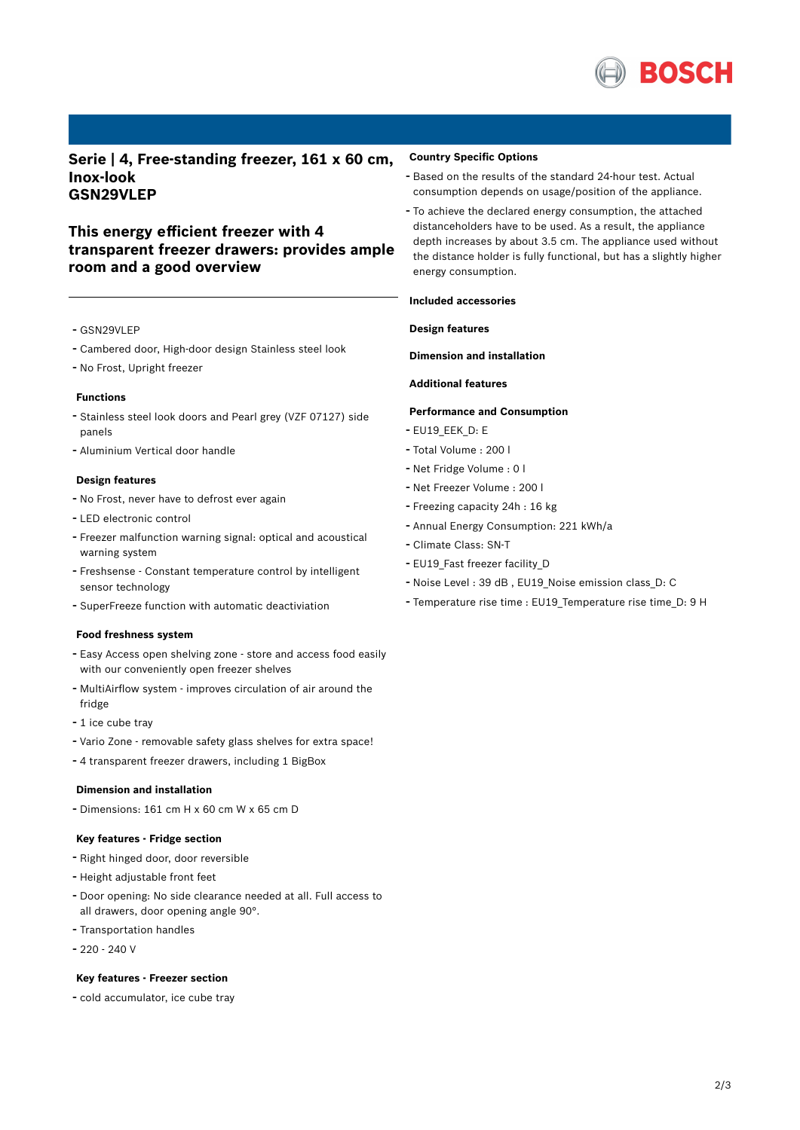

**Serie | 4, Free-standing freezer, 161 x 60 cm, Inox-look GSN29VLEP**

# **This energy efficient freezer with 4 transparent freezer drawers: provides ample room and a good overview**

- GSN29VLEP
- Cambered door, High-door design Stainless steel look
- No Frost, Upright freezer

#### **Functions**

- Stainless steel look doors and Pearl grey (VZF 07127) side panels
- Aluminium Vertical door handle

#### **Design features**

- No Frost, never have to defrost ever again
- LED electronic control
- Freezer malfunction warning signal: optical and acoustical warning system
- Freshsense Constant temperature control by intelligent sensor technology
- SuperFreeze function with automatic deactiviation

#### **Food freshness system**

- Easy Access open shelving zone store and access food easily with our conveniently open freezer shelves
- MultiAirflow system improves circulation of air around the fridge
- 1 ice cube tray
- Vario Zone removable safety glass shelves for extra space!
- <sup>4</sup> transparent freezer drawers, including <sup>1</sup> BigBox

#### **Dimension and installation**

- Dimensions: 161 cm H x 60 cm W x 65 cm D

#### **Key features - Fridge section**

- Right hinged door, door reversible
- Height adjustable front feet
- Door opening: No side clearance needed at all. Full access to all drawers, door opening angle 90°.
- Transportation handles
- 220 240 V

### **Key features - Freezer section**

- cold accumulator, ice cube tray

#### **Country Specific Options**

- Based on the results of the standard 24-hour test. Actual consumption depends on usage/position of the appliance.
- To achieve the declared energy consumption, the attached distanceholders have to be used. As a result, the appliance depth increases by about 3.5 cm. The appliance used without the distance holder is fully functional, but has a slightly higher energy consumption.

#### **Included accessories**

## **Design features**

**Dimension and installation**

#### **Additional features**

## **Performance and Consumption**

- EU19\_EEK\_D: E
- Total Volume : <sup>200</sup> <sup>l</sup>
- Net Fridge Volume : <sup>0</sup> <sup>l</sup>
- Net Freezer Volume : <sup>200</sup> <sup>l</sup>
- Freezing capacity 24h : <sup>16</sup> kg
- Annual Energy Consumption: <sup>221</sup> kWh/a
- Climate Class: SN-T
- EU19 Fast freezer facility D
- Noise Level : <sup>39</sup> dB , EU19\_Noise emission class\_D: <sup>C</sup>
- Temperature rise time : EU19\_Temperature rise time\_D: <sup>9</sup> <sup>H</sup>